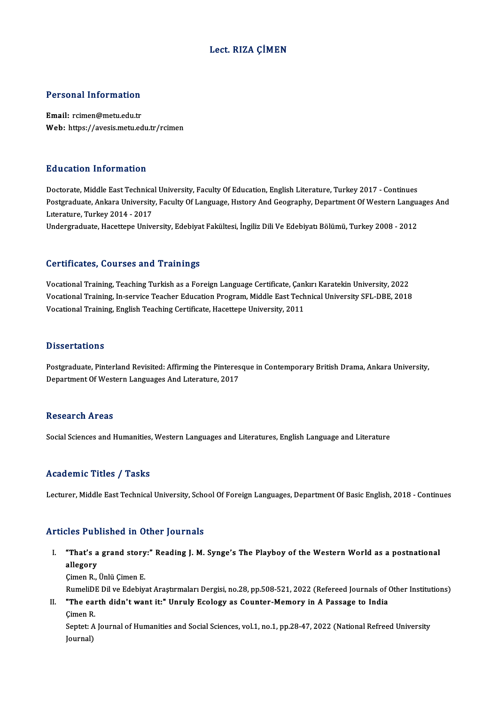## Lect. RIZA ÇİMEN

### Personal Information

Email: rcimen@metu.edu.tr Web: https://avesis.metu.edu.tr/rcimen

### Education Information

Education Information<br>Doctorate, Middle East Technical University, Faculty Of Education, English Literature, Turkey 2017 - Continues<br>Postsraduate Ankara University, Faculty Of Language, History And Coosranby, Department Of Postgraduate, Ankara University, Faculty Of Language, History And Geography, Department Of Western Languages And<br>Literature, Turkey 2014 - 2017 Doctorate, Middle East Technica<br>Postgraduate, Ankara University<br>Literature, Turkey 2014 - 2017<br>Undergraduate, Hecettene Unive

Undergraduate, Hacettepe University, Edebiyat Fakültesi, İngiliz Dili Ve Edebiyatı Bölümü, Turkey 2008 - 2012

### Certificates, Courses and Trainings

Vocational Training, Teaching Turkish as a Foreign Language Certificate, Çankırı Karatekin University, 2022 Vocational Training, Teaching Turkish as a Foreign Language Certificate, Çankırı Karatekin University, 2022<br>Vocational Training, In-service Teacher Education Program, Middle East Technical University SFL-DBE, 2018<br>Vocation Vocational Training, Teaching Turkish as a Foreign Language Certificate, Çanl<br>Vocational Training, In-service Teacher Education Program, Middle East Tech<br>Vocational Training, English Teaching Certificate, Hacettepe Univers Vocational Training, English Teaching Certificate, Hacettepe University, 2011<br>Dissertations

Postgraduate, Pinterland Revisited: Affirming the Pinteresque in Contemporary British Drama, Ankara University, Department Of Western Languages And Literature, 2017

#### **Research Areas**

Social Sciences and Humanities, Western Languages and Literatures, English Language and Literature

### Academic Titles / Tasks

Lecturer, Middle East Technical University, School Of Foreign Languages, Department Of Basic English, 2018 - Continues

# Articles Published in Other Journals

rticles Published in Other Journals<br>I. "That's a grand story:" Reading J. M. Synge's The Playboy of the Western World as a postnational<br>Religgary That's a<br>"That's a<br>allegory **"That's a grand story<br>allegory<br>Çimen R., Ünlü Çimen E.**<br>PumeliDE Dil ve Edebiy allegory<br>Çimen R., Ünlü Çimen E.<br>RumeliDE Dil ve Edebiyat Araştırmaları Dergisi, no.28, pp.508-521, 2022 (Refereed Journals of Other Institutions)

Cimen R., Ünlü Cimen E.<br>RumeliDE Dil ve Edebiyat Araştırmaları Dergisi, no.28, pp.508-521, 2022 (Refereed Journals of Gimen I.<br>II. "The earth didn't want it:" Unruly Ecology as Counter-Memory in A Passage to India RumeliDI<br>"The ear<br>Çimen R.

"The earth didn't want it:" Unruly Ecology as Counter-Memory in A Passage to India<br>Çimen R.<br>Septet: A Journal of Humanities and Social Sciences, vol.1, no.1, pp.28-47, 2022 (National Refreed University<br>Iournal) Çimen R<br>Septet: *A*<br>Journal)